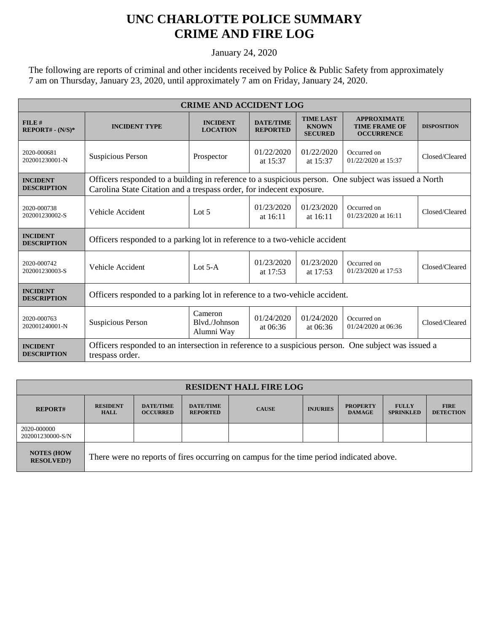## **UNC CHARLOTTE POLICE SUMMARY CRIME AND FIRE LOG**

January 24, 2020

The following are reports of criminal and other incidents received by Police & Public Safety from approximately 7 am on Thursday, January 23, 2020, until approximately 7 am on Friday, January 24, 2020.

| <b>CRIME AND ACCIDENT LOG</b>         |                                                                                                                                                                              |                                        |                                                    |                                                    |                                                                 |                    |  |
|---------------------------------------|------------------------------------------------------------------------------------------------------------------------------------------------------------------------------|----------------------------------------|----------------------------------------------------|----------------------------------------------------|-----------------------------------------------------------------|--------------------|--|
| FILE#<br>$REPORT# - (N/S)*$           | <b>INCIDENT TYPE</b>                                                                                                                                                         | <b>INCIDENT</b><br><b>LOCATION</b>     | <b>DATE/TIME</b><br><b>REPORTED</b>                | <b>TIME LAST</b><br><b>KNOWN</b><br><b>SECURED</b> | <b>APPROXIMATE</b><br><b>TIME FRAME OF</b><br><b>OCCURRENCE</b> | <b>DISPOSITION</b> |  |
| 2020-000681<br>202001230001-N         | Suspicious Person                                                                                                                                                            | Prospector                             | 01/22/2020<br>at 15:37                             | 01/22/2020<br>at 15:37                             | Occurred on<br>01/22/2020 at 15:37                              | Closed/Cleared     |  |
| <b>INCIDENT</b><br><b>DESCRIPTION</b> | Officers responded to a building in reference to a suspicious person. One subject was issued a North<br>Carolina State Citation and a trespass order, for indecent exposure. |                                        |                                                    |                                                    |                                                                 |                    |  |
| 2020-000738<br>202001230002-S         | Vehicle Accident                                                                                                                                                             | Lot $5$                                | 01/23/2020<br>01/23/2020<br>at 16:11<br>at $16:11$ |                                                    | Occurred on<br>01/23/2020 at 16:11                              | Closed/Cleared     |  |
| <b>INCIDENT</b><br><b>DESCRIPTION</b> | Officers responded to a parking lot in reference to a two-vehicle accident                                                                                                   |                                        |                                                    |                                                    |                                                                 |                    |  |
| 2020-000742<br>202001230003-S         | Vehicle Accident                                                                                                                                                             | Lot $5-A$                              | 01/23/2020<br>at 17:53                             | 01/23/2020<br>at 17:53                             | Occurred on<br>01/23/2020 at 17:53                              | Closed/Cleared     |  |
| <b>INCIDENT</b><br><b>DESCRIPTION</b> | Officers responded to a parking lot in reference to a two-vehicle accident.                                                                                                  |                                        |                                                    |                                                    |                                                                 |                    |  |
| 2020-000763<br>202001240001-N         | <b>Suspicious Person</b>                                                                                                                                                     | Cameron<br>Blvd./Johnson<br>Alumni Way | 01/24/2020<br>at $06:36$                           | 01/24/2020<br>at $06:36$                           | Occurred on<br>01/24/2020 at 06:36                              | Closed/Cleared     |  |
| <b>INCIDENT</b><br><b>DESCRIPTION</b> | Officers responded to an intersection in reference to a suspicious person.<br>One subject was issued a<br>trespass order.                                                    |                                        |                                                    |                                                    |                                                                 |                    |  |

| <b>RESIDENT HALL FIRE LOG</b>          |                                                                                         |                                     |                                     |              |                 |                                  |                                  |                                 |
|----------------------------------------|-----------------------------------------------------------------------------------------|-------------------------------------|-------------------------------------|--------------|-----------------|----------------------------------|----------------------------------|---------------------------------|
| <b>REPORT#</b>                         | <b>RESIDENT</b><br><b>HALL</b>                                                          | <b>DATE/TIME</b><br><b>OCCURRED</b> | <b>DATE/TIME</b><br><b>REPORTED</b> | <b>CAUSE</b> | <b>INJURIES</b> | <b>PROPERTY</b><br><b>DAMAGE</b> | <b>FULLY</b><br><b>SPRINKLED</b> | <b>FIRE</b><br><b>DETECTION</b> |
| 2020-000000<br>202001230000-S/N        |                                                                                         |                                     |                                     |              |                 |                                  |                                  |                                 |
| <b>NOTES (HOW)</b><br><b>RESOLVED?</b> | There were no reports of fires occurring on campus for the time period indicated above. |                                     |                                     |              |                 |                                  |                                  |                                 |